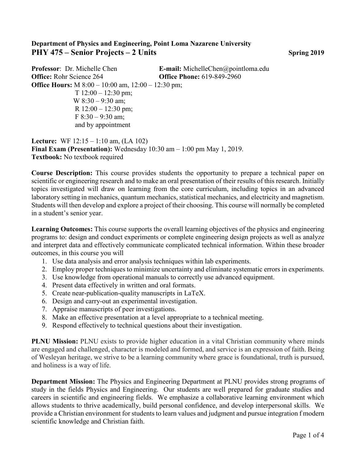## **Department of Physics and Engineering, Point Loma Nazarene University PHY 475 – Senior Projects – 2 Units Spring 2019**

**Professor**: Dr. Michelle Chen **E-mail:** MichelleChen@pointloma.edu **Office:** Rohr Science 264 **Office Phone:** 619-849-2960 **Office Hours:** M 8:00 – 10:00 am, 12:00 – 12:30 pm;  $T 12:00 - 12:30 \text{ pm};$ W 8:30 – 9:30 am; R  $12:00 - 12:30$  pm; F 8:30 – 9:30 am; and by appointment

**Lecture:** WF 12:15 – 1:10 am, (LA 102) **Final Exam (Presentation):** Wednesday 10:30 am – 1:00 pm May 1, 2019. **Textbook:** No textbook required

**Course Description:** This course provides students the opportunity to prepare a technical paper on scientific or engineering research and to make an oral presentation of their results of this research. Initially topics investigated will draw on learning from the core curriculum, including topics in an advanced laboratory setting in mechanics, quantum mechanics, statistical mechanics, and electricity and magnetism. Students will then develop and explore a project of their choosing. This course will normally be completed in a student's senior year.

**Learning Outcomes:** This course supports the overall learning objectives of the physics and engineering programs to: design and conduct experiments or complete engineering design projects as well as analyze and interpret data and effectively communicate complicated technical information. Within these broader outcomes, in this course you will

- 1. Use data analysis and error analysis techniques within lab experiments.
- 2. Employ proper techniques to minimize uncertainty and eliminate systematic errors in experiments.
- 3. Use knowledge from operational manuals to correctly use advanced equipment.
- 4. Present data effectively in written and oral formats.
- 5. Create near-publication-quality manuscripts in LaTeX.
- 6. Design and carry-out an experimental investigation.
- 7. Appraise manuscripts of peer investigations.
- 8. Make an effective presentation at a level appropriate to a technical meeting.
- 9. Respond effectively to technical questions about their investigation.

**PLNU Mission:** PLNU exists to provide higher education in a vital Christian community where minds are engaged and challenged, character is modeled and formed, and service is an expression of faith. Being of Wesleyan heritage, we strive to be a learning community where grace is foundational, truth is pursued, and holiness is a way of life.

**Department Mission:** The Physics and Engineering Department at PLNU provides strong programs of study in the fields Physics and Engineering. Our students are well prepared for graduate studies and careers in scientific and engineering fields. We emphasize a collaborative learning environment which allows students to thrive academically, build personal confidence, and develop interpersonal skills. We provide a Christian environment for students to learn values and judgment and pursue integration f modern scientific knowledge and Christian faith.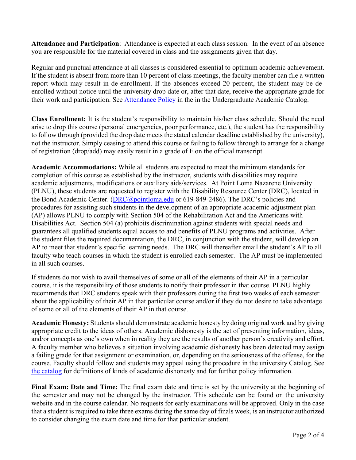**Attendance and Participation**: Attendance is expected at each class session. In the event of an absence you are responsible for the material covered in class and the assignments given that day.

Regular and punctual attendance at all classes is considered essential to optimum academic achievement. If the student is absent from more than 10 percent of class meetings, the faculty member can file a written report which may result in de-enrollment. If the absences exceed 20 percent, the student may be deenrolled without notice until the university drop date or, after that date, receive the appropriate grade for their work and participation. See [Attendance Policy](https://catalog.pointloma.edu/content.php?catoid=28&navoid=1761#Class_Attendance) in the in the Undergraduate Academic Catalog.

**Class Enrollment:** It is the student's responsibility to maintain his/her class schedule. Should the need arise to drop this course (personal emergencies, poor performance, etc.), the student has the responsibility to follow through (provided the drop date meets the stated calendar deadline established by the university), not the instructor. Simply ceasing to attend this course or failing to follow through to arrange for a change of registration (drop/add) may easily result in a grade of F on the official transcript.

**Academic Accommodations:** While all students are expected to meet the minimum standards for completion of this course as established by the instructor, students with disabilities may require academic adjustments, modifications or auxiliary aids/services. At Point Loma Nazarene University (PLNU), these students are requested to register with the Disability Resource Center (DRC), located in the Bond Academic Center. [\(DRC@pointloma.edu](mailto:DRC@pointloma.edu) or 619-849-2486). The DRC's policies and procedures for assisting such students in the development of an appropriate academic adjustment plan (AP) allows PLNU to comply with Section 504 of the Rehabilitation Act and the Americans with Disabilities Act. Section 504 (a) prohibits discrimination against students with special needs and guarantees all qualified students equal access to and benefits of PLNU programs and activities. After the student files the required documentation, the DRC, in conjunction with the student, will develop an AP to meet that student's specific learning needs. The DRC will thereafter email the student's AP to all faculty who teach courses in which the student is enrolled each semester. The AP must be implemented in all such courses.

If students do not wish to avail themselves of some or all of the elements of their AP in a particular course, it is the responsibility of those students to notify their professor in that course. PLNU highly recommends that DRC students speak with their professors during the first two weeks of each semester about the applicability of their AP in that particular course and/or if they do not desire to take advantage of some or all of the elements of their AP in that course.

**Academic Honesty:** Students should demonstrate academic honesty by doing original work and by giving appropriate credit to the ideas of others. Academic dishonesty is the act of presenting information, ideas, and/or concepts as one's own when in reality they are the results of another person's creativity and effort. A faculty member who believes a situation involving academic dishonesty has been detected may assign a failing grade for that assignment or examination, or, depending on the seriousness of the offense, for the course. Faculty should follow and students may appeal using the procedure in the university Catalog. See [the catalog](https://catalog.pointloma.edu/content.php?catoid=28&navoid=1761#Academic_Honesty) for definitions of kinds of academic dishonesty and for further policy information.

**Final Exam: Date and Time:** The final exam date and time is set by the university at the beginning of the semester and may not be changed by the instructor. This schedule can be found on the university website and in the course calendar. No requests for early examinations will be approved. Only in the case that a student is required to take three exams during the same day of finals week, is an instructor authorized to consider changing the exam date and time for that particular student.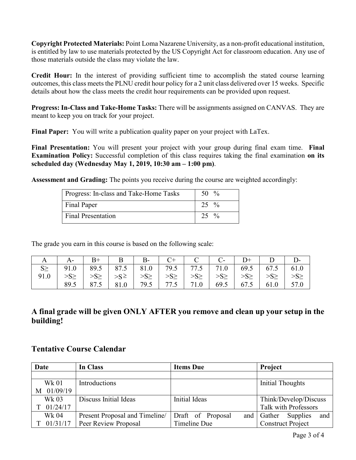**Copyright Protected Materials:** Point Loma Nazarene University, as a non-profit educational institution, is entitled by law to use materials protected by the US Copyright Act for classroom education. Any use of those materials outside the class may violate the law.

**Credit Hour:** In the interest of providing sufficient time to accomplish the stated course learning outcomes, this class meets the PLNU credit hour policy for a 2 unit class delivered over 15 weeks. Specific details about how the class meets the credit hour requirements can be provided upon request.

**Progress: In-Class and Take-Home Tasks:** There will be assignments assigned on CANVAS. They are meant to keep you on track for your project.

**Final Paper:** You will write a publication quality paper on your project with LaTex.

**Final Presentation:** You will present your project with your group during final exam time. **Final Examination Policy:** Successful completion of this class requires taking the final examination **on its scheduled day (Wednesday May 1, 2019, 10:30 am – 1:00 pm)**.

**Assessment and Grading:** The points you receive during the course are weighted accordingly:

| Progress: In-class and Take-Home Tasks | 50 $\%$          |
|----------------------------------------|------------------|
| Final Paper                            | $25\%$           |
| <b>Final Presentation</b>              | $25 \frac{9}{6}$ |

The grade you earn in this course is based on the following scale:

| A   A -   B +   B   B -   C +   C   C -   D +   D   D -                                                                                                         |  |  |  |                                                                     |  |
|-----------------------------------------------------------------------------------------------------------------------------------------------------------------|--|--|--|---------------------------------------------------------------------|--|
| $S \geq$ 91.0 89.5 87.5 81.0 79.5 77.5 71.0 69.5 67.5 61.0                                                                                                      |  |  |  |                                                                     |  |
| $  \gg_{\geq}  \gg_{\geq}  \gg_{\geq}  \gg_{\geq}  \gg_{\geq}  \gg_{\geq}  \gg_{\geq}  \gg_{\geq}  \gg_{\geq}  \gg_{\geq}  \gg_{\geq}  \gg_{\geq}  \gg_{\geq} $ |  |  |  |                                                                     |  |
|                                                                                                                                                                 |  |  |  | 89.5   87.5   81.0   79.5   77.5   71.0   69.5   67.5   61.0   57.0 |  |

**A final grade will be given ONLY AFTER you remove and clean up your setup in the building!** 

## **Tentative Course Calendar**

| Date         | In Class                       | <b>Items Due</b>         | Project                   |  |
|--------------|--------------------------------|--------------------------|---------------------------|--|
|              |                                |                          |                           |  |
| <b>Wk 01</b> | Introductions                  |                          | Initial Thoughts          |  |
| M 01/09/19   |                                |                          |                           |  |
| Wk 03        | Discuss Initial Ideas          | Initial Ideas            | Think/Develop/Discuss     |  |
| 01/24/17     |                                |                          | Talk with Professors      |  |
| Wk 04        | Present Proposal and Timeline/ | Draft of Proposal<br>and | Supplies<br>Gather<br>and |  |
| 01/31/17     | Peer Review Proposal           | Timeline Due             | <b>Construct Project</b>  |  |